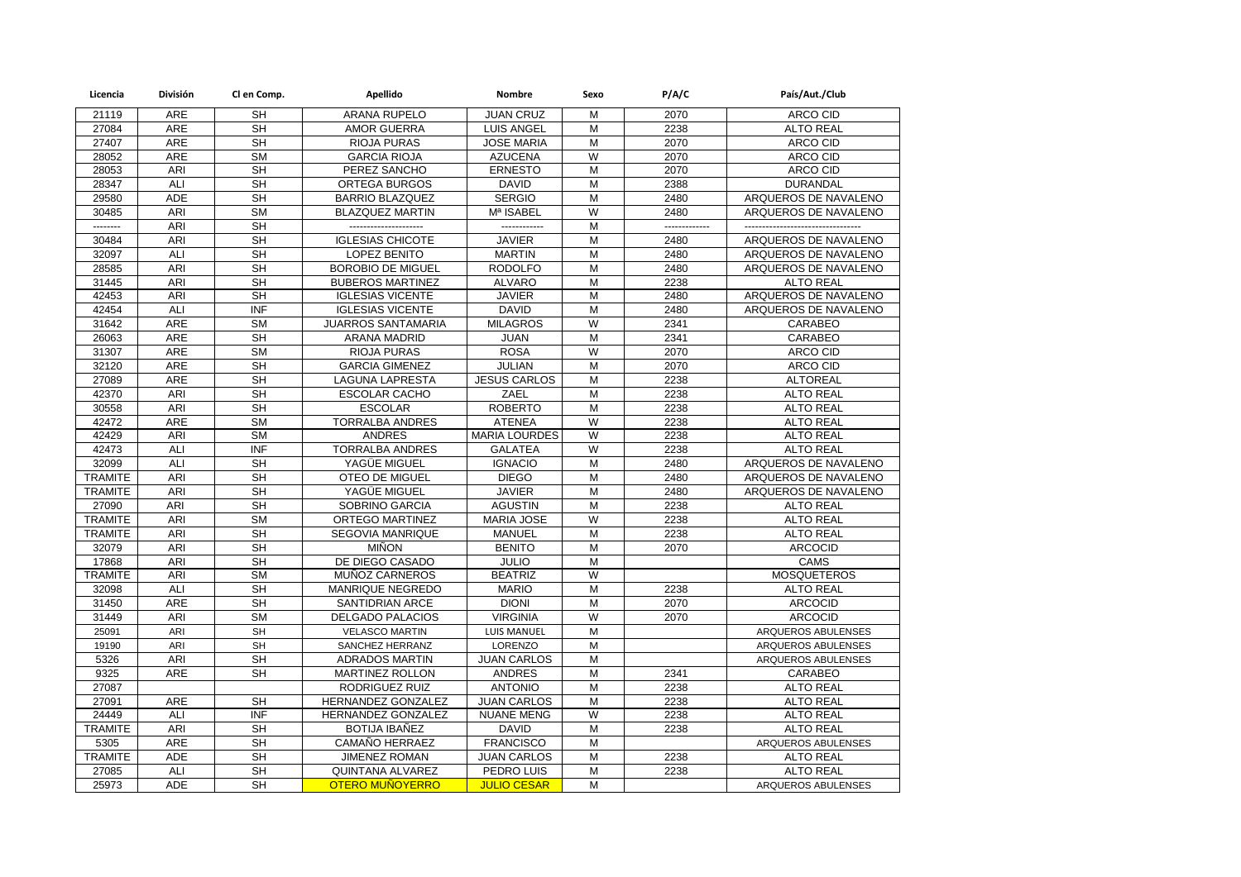| Licencia       | División   | Cl en Comp.              | Apellido                 | Nombre               | Sexo                    | P/A/C     | País/Aut./Club                |
|----------------|------------|--------------------------|--------------------------|----------------------|-------------------------|-----------|-------------------------------|
| 21119          | <b>ARE</b> | <b>SH</b>                | <b>ARANA RUPELO</b>      | <b>JUAN CRUZ</b>     | M                       | 2070      | ARCO CID                      |
| 27084          | ARE        | <b>SH</b>                | <b>AMOR GUERRA</b>       | <b>LUIS ANGEL</b>    | M                       | 2238      | <b>ALTO REAL</b>              |
| 27407          | <b>ARE</b> | <b>SH</b>                | <b>RIOJA PURAS</b>       | <b>JOSE MARIA</b>    | M                       | 2070      | <b>ARCO CID</b>               |
| 28052          | ARE        | <b>SM</b>                | <b>GARCIA RIOJA</b>      | <b>AZUCENA</b>       | W                       | 2070      | ARCO CID                      |
| 28053          | ARI        | <b>SH</b>                | PEREZ SANCHO             | <b>ERNESTO</b>       | M                       | 2070      | ARCO CID                      |
| 28347          | ALI        | <b>SH</b>                | ORTEGA BURGOS            | <b>DAVID</b>         | M                       | 2388      | <b>DURANDAL</b>               |
| 29580          | <b>ADE</b> | <b>SH</b>                | <b>BARRIO BLAZQUEZ</b>   | <b>SERGIO</b>        | $\overline{M}$          | 2480      | ARQUEROS DE NAVALENO          |
| 30485          | ARI        | <b>SM</b>                | <b>BLAZQUEZ MARTIN</b>   | Mª ISABEL            | W                       | 2480      | ARQUEROS DE NAVALENO          |
| --------       | ARI        | <b>SH</b>                | ---------------------    | -------------        | $\overline{M}$          | --------- | ----------------------------- |
| 30484          | ARI        | <b>SH</b>                | <b>IGLESIAS CHICOTE</b>  | <b>JAVIER</b>        | M                       | 2480      | ARQUEROS DE NAVALENO          |
| 32097          | ALI        | $\overline{\mathsf{SH}}$ | LOPEZ BENITO             | <b>MARTIN</b>        | $\overline{M}$          | 2480      | ARQUEROS DE NAVALENO          |
| 28585          | ARI        | <b>SH</b>                | <b>BOROBIO DE MIGUEL</b> | <b>RODOLFO</b>       | M                       | 2480      | ARQUEROS DE NAVALENO          |
| 31445          | ARI        | $\overline{\mathsf{SH}}$ | <b>BUBEROS MARTINEZ</b>  | <b>ALVARO</b>        | $\overline{M}$          | 2238      | <b>ALTO REAL</b>              |
| 42453          | ARI        | <b>SH</b>                | <b>IGLESIAS VICENTE</b>  | <b>JAVIER</b>        | М                       | 2480      | ARQUEROS DE NAVALENO          |
| 42454          | ALI        | <b>INF</b>               | <b>IGLESIAS VICENTE</b>  | <b>DAVID</b>         | M                       | 2480      | ARQUEROS DE NAVALENO          |
| 31642          | ARE        | <b>SM</b>                | JUARROS SANTAMARIA       | <b>MILAGROS</b>      | W                       | 2341      | CARABEO                       |
| 26063          | ARE        | <b>SH</b>                | <b>ARANA MADRID</b>      | <b>JUAN</b>          | М                       | 2341      | CARABEO                       |
| 31307          | <b>ARE</b> | <b>SM</b>                | <b>RIOJA PURAS</b>       | <b>ROSA</b>          | W                       | 2070      | ARCO CID                      |
| 32120          | <b>ARE</b> | <b>SH</b>                | <b>GARCIA GIMENEZ</b>    | <b>JULIAN</b>        | M                       | 2070      | ARCO CID                      |
| 27089          | <b>ARE</b> | <b>SH</b>                | LAGUNA LAPRESTA          | <b>JESUS CARLOS</b>  | M                       | 2238      | <b>ALTOREAL</b>               |
| 42370          | ARI        | <b>SH</b>                | <b>ESCOLAR CACHO</b>     | ZAEL                 | M                       | 2238      | <b>ALTO REAL</b>              |
| 30558          | ARI        | <b>SH</b>                | <b>ESCOLAR</b>           | <b>ROBERTO</b>       | M                       | 2238      | <b>ALTO REAL</b>              |
| 42472          | ARE        | <b>SM</b>                | <b>TORRALBA ANDRES</b>   | <b>ATENEA</b>        | $\overline{W}$          | 2238      | <b>ALTO REAL</b>              |
| 42429          | ARI        | <b>SM</b>                | <b>ANDRES</b>            | <b>MARIA LOURDES</b> | W                       | 2238      | <b>ALTO REAL</b>              |
| 42473          | ALI        | <b>INF</b>               | TORRALBA ANDRES          | <b>GALATEA</b>       | W                       | 2238      | <b>ALTO REAL</b>              |
| 32099          | ALI        | <b>SH</b>                | YAGÜE MIGUEL             | <b>IGNACIO</b>       | М                       | 2480      | ARQUEROS DE NAVALENO          |
| <b>TRAMITE</b> | ARI        | <b>SH</b>                | <b>OTEO DE MIGUEL</b>    | <b>DIEGO</b>         | M                       | 2480      | ARQUEROS DE NAVALENO          |
| <b>TRAMITE</b> | ARI        | <b>SH</b>                | YAGÜE MIGUEL             | <b>JAVIER</b>        | M                       | 2480      | ARQUEROS DE NAVALENO          |
| 27090          | ARI        | <b>SH</b>                | SOBRINO GARCIA           | <b>AGUSTIN</b>       | M                       | 2238      | <b>ALTO REAL</b>              |
| <b>TRAMITE</b> | ARI        | <b>SM</b>                | ORTEGO MARTINEZ          | <b>MARIA JOSE</b>    | W                       | 2238      | <b>ALTO REAL</b>              |
| <b>TRAMITE</b> | ARI        | <b>SH</b>                | SEGOVIA MANRIQUE         | <b>MANUEL</b>        | $\overline{\mathsf{M}}$ | 2238      | <b>ALTO REAL</b>              |
| 32079          | ARI        | <b>SH</b>                | <b>MIÑON</b>             | <b>BENITO</b>        | M                       | 2070      | <b>ARCOCID</b>                |
| 17868          | ARI        | <b>SH</b>                | DE DIEGO CASADO          | <b>JULIO</b>         | $\overline{M}$          |           | <b>CAMS</b>                   |
| <b>TRAMITE</b> | ARI        | <b>SM</b>                | MUÑOZ CARNEROS           | <b>BEATRIZ</b>       | W                       |           | <b>MOSQUETEROS</b>            |
| 32098          | ALI        | <b>SH</b>                | MANRIQUE NEGREDO         | <b>MARIO</b>         | M                       | 2238      | <b>ALTO REAL</b>              |
| 31450          | <b>ARE</b> | <b>SH</b>                | <b>SANTIDRIAN ARCE</b>   | <b>DIONI</b>         | M                       | 2070      | <b>ARCOCID</b>                |
| 31449          | ARI        | <b>SM</b>                | <b>DELGADO PALACIOS</b>  | <b>VIRGINIA</b>      | W                       | 2070      | <b>ARCOCID</b>                |
| 25091          | ARI        | <b>SH</b>                | <b>VELASCO MARTIN</b>    | <b>LUIS MANUEL</b>   | M                       |           | ARQUEROS ABULENSES            |
| 19190          | ARI        | <b>SH</b>                | SANCHEZ HERRANZ          | LORENZO              | M                       |           | ARQUEROS ABULENSES            |
| 5326           | ARI        | <b>SH</b>                | <b>ADRADOS MARTIN</b>    | <b>JUAN CARLOS</b>   | M                       |           | ARQUEROS ABULENSES            |
| 9325           | ARE        | <b>SH</b>                | MARTINEZ ROLLON          | <b>ANDRES</b>        | M                       | 2341      | CARABEO                       |
| 27087          |            |                          | RODRIGUEZ RUIZ           | <b>ANTONIO</b>       | M                       | 2238      | <b>ALTO REAL</b>              |
| 27091          | ARE        | <b>SH</b>                | HERNANDEZ GONZALEZ       | <b>JUAN CARLOS</b>   | M                       | 2238      | <b>ALTO REAL</b>              |
| 24449          | ALI        | <b>INF</b>               | HERNANDEZ GONZALEZ       | <b>NUANE MENG</b>    | $\overline{W}$          | 2238      | <b>ALTO REAL</b>              |
| <b>TRAMITE</b> | ARI        | <b>SH</b>                | BOTIJA IBAÑEZ            | <b>DAVID</b>         | M                       | 2238      | <b>ALTO REAL</b>              |
| 5305           | ARE        | $\overline{\mathsf{SH}}$ | CAMAÑO HERRAEZ           | <b>FRANCISCO</b>     | $\overline{M}$          |           | ARQUEROS ABULENSES            |
| <b>TRAMITE</b> | ADE        | <b>SH</b>                | <b>JIMENEZ ROMAN</b>     | <b>JUAN CARLOS</b>   | М                       | 2238      | <b>ALTO REAL</b>              |
| 27085          | ALI        | <b>SH</b>                | QUINTANA ALVAREZ         | PEDRO LUIS           | M                       | 2238      | <b>ALTO REAL</b>              |
| 25973          | <b>ADE</b> | <b>SH</b>                | <b>OTERO MUÑOYERRO</b>   | <b>JULIO CESAR</b>   | M                       |           | ARQUEROS ABULENSES            |